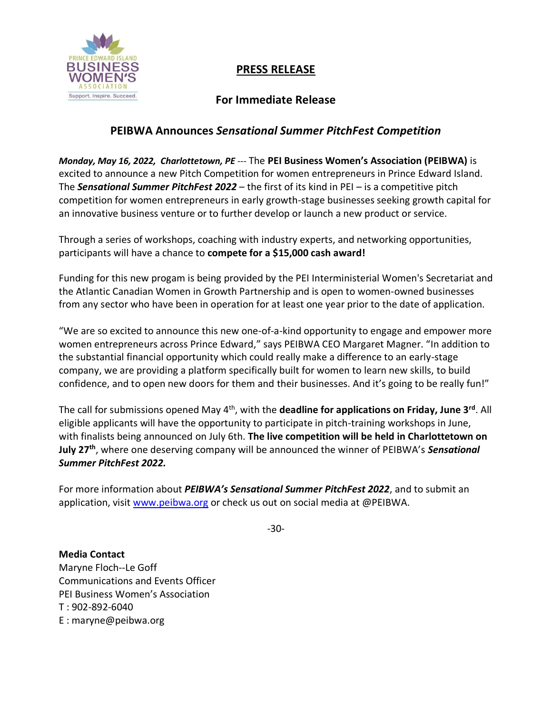

## **PRESS RELEASE**

## **For Immediate Release**

## **PEIBWA Announces** *Sensational Summer PitchFest Competition*

*Monday, May 16, 2022, Charlottetown, PE ---* The **PEI Business Women's Association (PEIBWA)** is excited to announce a new Pitch Competition for women entrepreneurs in Prince Edward Island. The *Sensational Summer PitchFest 2022* – the first of its kind in PEI – is a competitive pitch competition for women entrepreneurs in early growth-stage businesses seeking growth capital for an innovative business venture or to further develop or launch a new product or service.

Through a series of workshops, coaching with industry experts, and networking opportunities, participants will have a chance to **compete for a \$15,000 cash award!**

Funding for this new progam is being provided by the PEI Interministerial Women's Secretariat and the Atlantic Canadian Women in Growth Partnership and is open to women-owned businesses from any sector who have been in operation for at least one year prior to the date of application.

"We are so excited to announce this new one-of-a-kind opportunity to engage and empower more women entrepreneurs across Prince Edward," says PEIBWA CEO Margaret Magner. "In addition to the substantial financial opportunity which could really make a difference to an early-stage company, we are providing a platform specifically built for women to learn new skills, to build confidence, and to open new doors for them and their businesses. And it's going to be really fun!"

The call for submissions opened May 4<sup>th</sup>, with the **deadline for applications on Friday, June 3<sup>rd</sup>.** All eligible applicants will have the opportunity to participate in pitch-training workshops in June, with finalists being announced on July 6th. **The live competition will be held in Charlottetown on July 27th**, where one deserving company will be announced the winner of PEIBWA's *Sensational Summer PitchFest 2022.*

For more information about *PEIBWA's Sensational Summer PitchFest 2022*, and to submit an application, visit [www.peibwa.org](http://www.peibwa.org/sensationalsummerpitchfest) or check us out on social media at @PEIBWA.

-30-

**Media Contact**

Maryne Floch--Le Goff Communications and Events Officer PEI Business Women's Association T : 902-892-6040 E : [maryne@peibwa.org](mailto:maryne@peibwa.org)